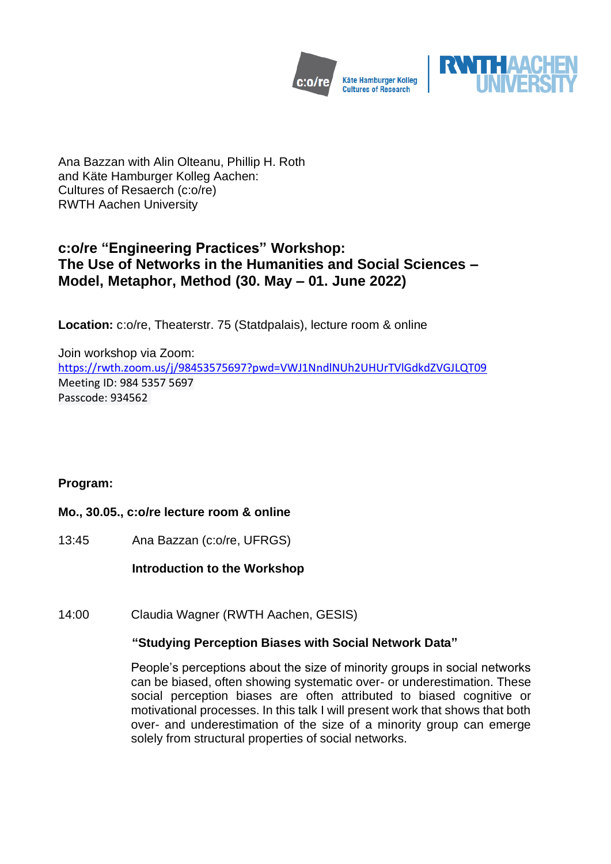



Ana Bazzan with Alin Olteanu, Phillip H. Roth and Käte Hamburger Kolleg Aachen: Cultures of Resaerch (c:o/re) RWTH Aachen University

# **c:o/re "Engineering Practices" Workshop: The Use of Networks in the Humanities and Social Sciences – Model, Metaphor, Method (30. May – 01. June 2022)**

**Location:** c:o/re, Theaterstr. 75 (Statdpalais), lecture room & online

Join workshop via Zoom: <https://rwth.zoom.us/j/98453575697?pwd=VWJ1NndlNUh2UHUrTVlGdkdZVGJLQT09> Meeting ID: 984 5357 5697 Passcode: 934562

# **Program:**

# **Mo., 30.05., c:o/re lecture room & online**

13:45 Ana Bazzan (c:o/re, UFRGS)

**Introduction to the Workshop**

14:00 Claudia Wagner (RWTH Aachen, GESIS)

# **"Studying Perception Biases with Social Network Data"**

People's perceptions about the size of minority groups in social networks can be biased, often showing systematic over- or underestimation. These social perception biases are often attributed to biased cognitive or motivational processes. In this talk I will present work that shows that both over- and underestimation of the size of a minority group can emerge solely from structural properties of social networks.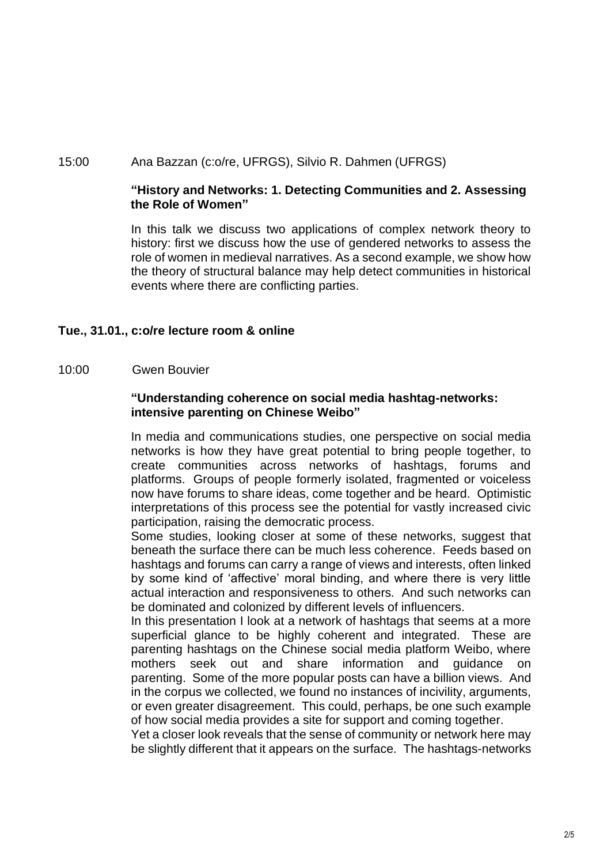#### 15:00 Ana Bazzan (c:o/re, UFRGS), Silvio R. Dahmen (UFRGS)

#### **"History and Networks: 1. Detecting Communities and 2. Assessing the Role of Women"**

In this talk we discuss two applications of complex network theory to history: first we discuss how the use of gendered networks to assess the role of women in medieval narratives. As a second example, we show how the theory of structural balance may help detect communities in historical events where there are conflicting parties.

# **Tue., 31.01., c:o/re lecture room & online**

10:00 Gwen Bouvier

#### **"Understanding coherence on social media hashtag-networks: intensive parenting on Chinese Weibo"**

In media and communications studies, one perspective on social media networks is how they have great potential to bring people together, to create communities across networks of hashtags, forums and platforms. Groups of people formerly isolated, fragmented or voiceless now have forums to share ideas, come together and be heard. Optimistic interpretations of this process see the potential for vastly increased civic participation, raising the democratic process.

Some studies, looking closer at some of these networks, suggest that beneath the surface there can be much less coherence. Feeds based on hashtags and forums can carry a range of views and interests, often linked by some kind of 'affective' moral binding, and where there is very little actual interaction and responsiveness to others. And such networks can be dominated and colonized by different levels of influencers.

In this presentation I look at a network of hashtags that seems at a more superficial glance to be highly coherent and integrated. These are parenting hashtags on the Chinese social media platform Weibo, where mothers seek out and share information and guidance on parenting. Some of the more popular posts can have a billion views. And in the corpus we collected, we found no instances of incivility, arguments, or even greater disagreement. This could, perhaps, be one such example of how social media provides a site for support and coming together.

Yet a closer look reveals that the sense of community or network here may be slightly different that it appears on the surface. The hashtags-networks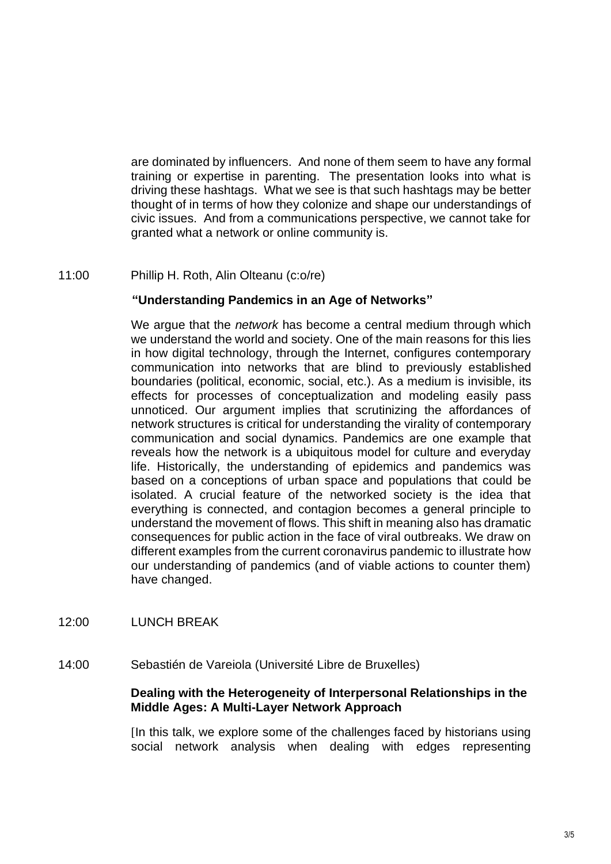are dominated by influencers. And none of them seem to have any formal training or expertise in parenting. The presentation looks into what is driving these hashtags. What we see is that such hashtags may be better thought of in terms of how they colonize and shape our understandings of civic issues. And from a communications perspective, we cannot take for granted what a network or online community is.

#### 11:00 Phillip H. Roth, Alin Olteanu (c:o/re)

#### **"Understanding Pandemics in an Age of Networks"**

We argue that the *network* has become a central medium through which we understand the world and society. One of the main reasons for this lies in how digital technology, through the Internet, configures contemporary communication into networks that are blind to previously established boundaries (political, economic, social, etc.). As a medium is invisible, its effects for processes of conceptualization and modeling easily pass unnoticed. Our argument implies that scrutinizing the affordances of network structures is critical for understanding the virality of contemporary communication and social dynamics. Pandemics are one example that reveals how the network is a ubiquitous model for culture and everyday life. Historically, the understanding of epidemics and pandemics was based on a conceptions of urban space and populations that could be isolated. A crucial feature of the networked society is the idea that everything is connected, and contagion becomes a general principle to understand the movement of flows. This shift in meaning also has dramatic consequences for public action in the face of viral outbreaks. We draw on different examples from the current coronavirus pandemic to illustrate how our understanding of pandemics (and of viable actions to counter them) have changed.

- 12:00 LUNCH BREAK
- 14:00 Sebastién de Vareiola (Université Libre de Bruxelles)

# **Dealing with the Heterogeneity of Interpersonal Relationships in the Middle Ages: A Multi-Layer Network Approach**

[In this talk, we explore some of the challenges faced by historians using social network analysis when dealing with edges representing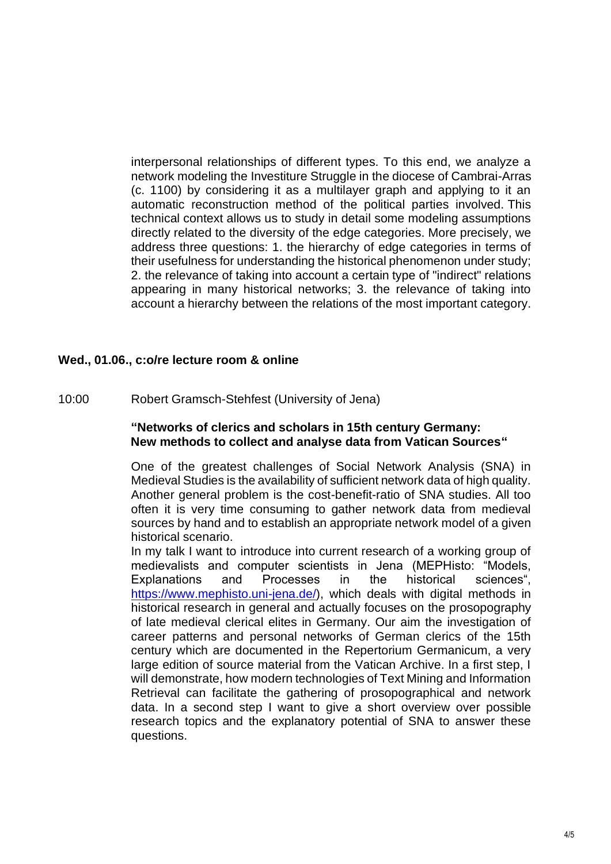interpersonal relationships of different types. To this end, we analyze a network modeling the Investiture Struggle in the diocese of Cambrai-Arras (c. 1100) by considering it as a multilayer graph and applying to it an automatic reconstruction method of the political parties involved. This technical context allows us to study in detail some modeling assumptions directly related to the diversity of the edge categories. More precisely, we address three questions: 1. the hierarchy of edge categories in terms of their usefulness for understanding the historical phenomenon under study; 2. the relevance of taking into account a certain type of "indirect" relations appearing in many historical networks; 3. the relevance of taking into account a hierarchy between the relations of the most important category.

#### **Wed., 01.06., c:o/re lecture room & online**

10:00 Robert Gramsch-Stehfest (University of Jena)

#### **"Networks of clerics and scholars in 15th century Germany: New methods to collect and analyse data from Vatican Sources"**

One of the greatest challenges of Social Network Analysis (SNA) in Medieval Studies is the availability of sufficient network data of high quality. Another general problem is the cost-benefit-ratio of SNA studies. All too often it is very time consuming to gather network data from medieval sources by hand and to establish an appropriate network model of a given historical scenario.

In my talk I want to introduce into current research of a working group of medievalists and computer scientists in Jena (MEPHisto: "Models, Explanations and Processes in the historical sciences", [https://www.mephisto.uni-jena.de/\)](https://www.mephisto.uni-jena.de/), which deals with digital methods in historical research in general and actually focuses on the prosopography of late medieval clerical elites in Germany. Our aim the investigation of career patterns and personal networks of German clerics of the 15th century which are documented in the Repertorium Germanicum, a very large edition of source material from the Vatican Archive. In a first step, I will demonstrate, how modern technologies of Text Mining and Information Retrieval can facilitate the gathering of prosopographical and network data. In a second step I want to give a short overview over possible research topics and the explanatory potential of SNA to answer these questions.